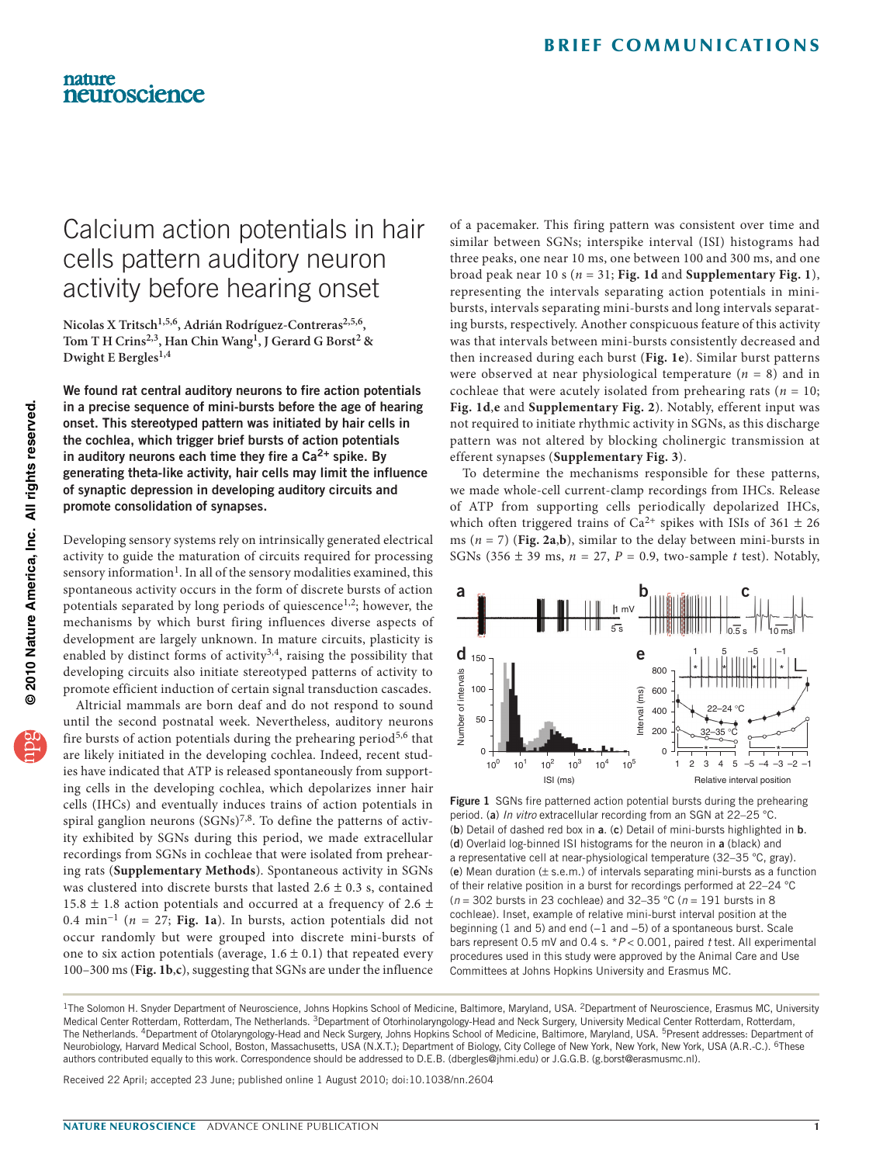# Calcium action potentials in hair cells pattern auditory neuron activity before hearing onset

Nicolas X Tritsch<sup>1,5,6</sup>, Adrián Rodríguez-Contreras<sup>2,5,6</sup>, Tom T H Crins<sup>2,3</sup>, Han Chin Wang<sup>1</sup>, J Gerard G Borst<sup>2</sup> & **Dwight E Bergles1,4**

We found rat central auditory neurons to fire action potentials in a precise sequence of mini-bursts before the age of hearing onset. This stereotyped pattern was initiated by hair cells in the cochlea, which trigger brief bursts of action potentials in auditory neurons each time they fire a  $Ca<sup>2+</sup>$  spike. By generating theta-like activity, hair cells may limit the influence of synaptic depression in developing auditory circuits and promote consolidation of synapses.

Developing sensory systems rely on intrinsically generated electrical activity to guide the maturation of circuits required for processing sensory information<sup>1</sup>. In all of the sensory modalities examined, this spontaneous activity occurs in the form of discrete bursts of action potentials separated by long periods of quiescence<sup>1,2</sup>; however, the mechanisms by which burst firing influences diverse aspects of development are largely unknown. In mature circuits, plasticity is enabled by distinct forms of activity<sup>3,4</sup>, raising the possibility that developing circuits also initiate stereotyped patterns of activity to promote efficient induction of certain signal transduction cascades.

Altricial mammals are born deaf and do not respond to sound until the second postnatal week. Nevertheless, auditory neurons fire bursts of action potentials during the prehearing period<sup>5,6</sup> that are likely initiated in the developing cochlea. Indeed, recent studies have indicated that ATP is released spontaneously from supporting cells in the developing cochlea, which depolarizes inner hair cells (IHCs) and eventually induces trains of action potentials in spiral ganglion neurons  $(SGNs)^{7,8}$ . To define the patterns of activity exhibited by SGNs during this period, we made extracellular recordings from SGNs in cochleae that were isolated from prehearing rats (**Supplementary Methods**). Spontaneous activity in SGNs was clustered into discrete bursts that lasted  $2.6 \pm 0.3$  s, contained 15.8  $\pm$  1.8 action potentials and occurred at a frequency of 2.6  $\pm$ 0.4 min−1 (*n* = 27; **[Fig. 1a](#page-0-0)**). In bursts, action potentials did not occur randomly but were grouped into discrete mini-bursts of one to six action potentials (average,  $1.6 \pm 0.1$ ) that repeated every 100–300 ms (**[Fig. 1b](#page-0-0)**,**c**), suggesting that SGNs are under the influence

of a pacemaker. This firing pattern was consistent over time and similar between SGNs; interspike interval (ISI) histograms had three peaks, one near 10 ms, one between 100 and 300 ms, and one broad peak near 10 s (*n* = 31; **[Fig. 1d](#page-0-0)** and **Supplementary Fig. 1**), representing the intervals separating action potentials in minibursts, intervals separating mini-bursts and long intervals separating bursts, respectively. Another conspicuous feature of this activity was that intervals between mini-bursts consistently decreased and then increased during each burst (**[Fig. 1e](#page-0-0)**). Similar burst patterns were observed at near physiological temperature  $(n = 8)$  and in cochleae that were acutely isolated from prehearing rats ( $n = 10$ ; **[Fig. 1d](#page-0-0)**,**e** and **Supplementary Fig. 2**). Notably, efferent input was not required to initiate rhythmic activity in SGNs, as this discharge pattern was not altered by blocking cholinergic transmission at efferent synapses (**Supplementary Fig. 3**).

To determine the mechanisms responsible for these patterns, we made whole-cell current-clamp recordings from IHCs. Release of ATP from supporting cells periodically depolarized IHCs, which often triggered trains of  $Ca^{2+}$  spikes with ISIs of 361  $\pm$  26 ms (*n* = 7) (**[Fig.](#page-1-0) 2a**,**b**), similar to the delay between mini-bursts in SGNs (356  $\pm$  39 ms,  $n = 27$ ,  $P = 0.9$ , two-sample *t* test). Notably,



<span id="page-0-0"></span>Figure 1 SGNs fire patterned action potential bursts during the prehearing period. (a) *In vitro* extracellular recording from an SGN at 22–25 °C. (b) Detail of dashed red box in a. (c) Detail of mini-bursts highlighted in b. (d) Overlaid log-binned ISI histograms for the neuron in a (black) and a representative cell at near-physiological temperature (32–35 °C, gray). (e) Mean duration  $(\pm$  s.e.m.) of intervals separating mini-bursts as a function of their relative position in a burst for recordings performed at 22–24 °C (*n* = 302 bursts in 23 cochleae) and 32–35 °C (*n* = 191 bursts in 8 cochleae). Inset, example of relative mini-burst interval position at the beginning (1 and 5) and end (−1 and −5) of a spontaneous burst. Scale bars represent 0.5 mV and 0.4 s. \**P* < 0.001, paired *t* test. All experimental procedures used in this study were approved by the Animal Care and Use Committees at Johns Hopkins University and Erasmus MC.

Received 22 April; accepted 23 June; published online 1 August 2010; [doi:10.1038/nn.2604](http://www.nature.com/doifinder/10.1038/nn.2604)

nature

neuroscience

<sup>&</sup>lt;sup>1</sup>The Solomon H. Snyder Department of Neuroscience, Johns Hopkins School of Medicine, Baltimore, Maryland, USA. <sup>2</sup>Department of Neuroscience, Erasmus MC, University Medical Center Rotterdam, Rotterdam, The Netherlands. <sup>3</sup>Department of Otorhinolaryngology-Head and Neck Surgery, University Medical Center Rotterdam, Rotterdam, The Netherlands. <sup>4</sup>Department of Otolaryngology-Head and Neck Surgery, Johns Hopkins School of Medicine, Baltimore, Maryland, USA. <sup>5</sup>Present addresses: Department of Neurobiology, Harvard Medical School, Boston, Massachusetts, USA (N.X.T.); Department of Biology, City College of New York, New York, New York, USA (A.R.-C.). <sup>6</sup>These authors contributed equally to this work. Correspondence should be addressed to D.E.B. (dbergles@jhmi.edu) or J.G.G.B. (g.borst@erasmusmc.nl).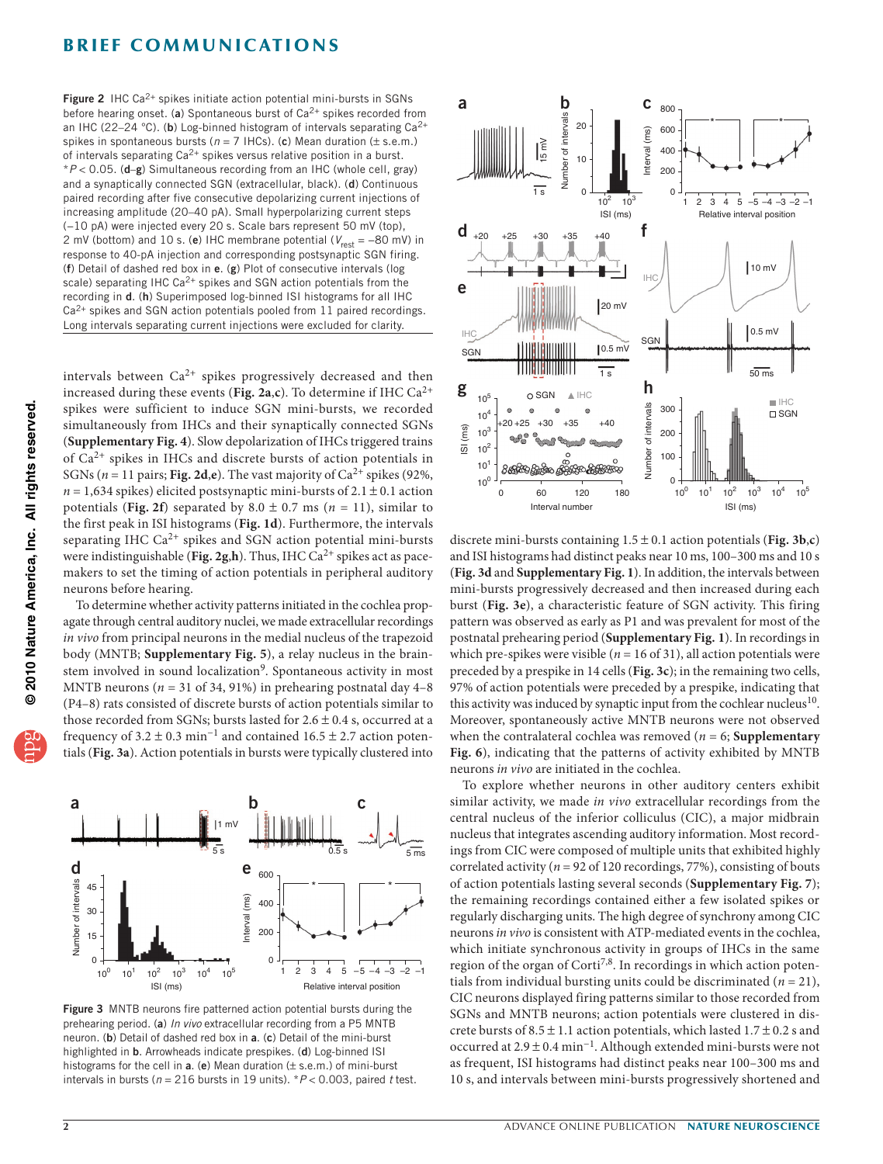## **BRIEF COMMUNICATIONS**

<span id="page-1-0"></span>**Figure 2** IHC Ca<sup>2+</sup> spikes initiate action potential mini-bursts in SGNs before hearing onset. (a) Spontaneous burst of  $Ca^{2+}$  spikes recorded from an IHC (22-24 °C). (b) Log-binned histogram of intervals separating  $Ca^{2+}$ spikes in spontaneous bursts (*n* = 7 IHCs). (c) Mean duration (± s.e.m.) of intervals separating Ca2+ spikes versus relative position in a burst. \**P* < 0.05. (d–g) Simultaneous recording from an IHC (whole cell, gray) and a synaptically connected SGN (extracellular, black). (d) Continuous paired recording after five consecutive depolarizing current injections of increasing amplitude (20–40 pA). Small hyperpolarizing current steps (−10 pA) were injected every 20 s. Scale bars represent 50 mV (top), 2 mV (bottom) and 10 s. (e) IHC membrane potential ( $V_{\text{rest}}$  = −80 mV) in response to 40-pA injection and corresponding postsynaptic SGN firing. (f) Detail of dashed red box in e. (g) Plot of consecutive intervals (log scale) separating IHC Ca<sup>2+</sup> spikes and SGN action potentials from the recording in d. (h) Superimposed log-binned ISI histograms for all IHC  $Ca<sup>2+</sup>$  spikes and SGN action potentials pooled from 11 paired recordings. Long intervals separating current injections were excluded for clarity.

intervals between  $Ca^{2+}$  spikes progressively decreased and then increased during these events (**[Fig. 2a](#page-1-0)**,**c**). To determine if IHC Ca2+ spikes were sufficient to induce SGN mini-bursts, we recorded simultaneously from IHCs and their synaptically connected SGNs (**Supplementary Fig. 4**). Slow depolarization of IHCs triggered trains of  $Ca^{2+}$  spikes in IHCs and discrete bursts of action potentials in SGNs ( $n = 11$  pairs; **[Fig. 2d](#page-1-0),e**). The vast majority of  $Ca^{2+}$  spikes (92%,  $n = 1,634$  spikes) elicited postsynaptic mini-bursts of  $2.1 \pm 0.1$  action potentials ([Fig.](#page-1-0) 2f) separated by  $8.0 \pm 0.7$  ms ( $n = 11$ ), similar to the first peak in ISI histograms (**[Fig. 1d](#page-0-0)**). Furthermore, the intervals separating IHC  $Ca^{2+}$  spikes and SGN action potential mini-bursts were indistinguishable ([Fig. 2g](#page-1-0),h). Thus, IHC Ca<sup>2+</sup> spikes act as pacemakers to set the timing of action potentials in peripheral auditory neurons before hearing.

To determine whether activity patterns initiated in the cochlea propagate through central auditory nuclei, we made extracellular recordings *in vivo* from principal neurons in the medial nucleus of the trapezoid body (MNTB; **Supplementary Fig. 5**), a relay nucleus in the brain-stem involved in sound localization<sup>[9](#page-2-1)</sup>. Spontaneous activity in most MNTB neurons (*n* = 31 of 34, 91%) in prehearing postnatal day 4–8 (P4–8) rats consisted of discrete bursts of action potentials similar to those recorded from SGNs; bursts lasted for  $2.6 \pm 0.4$  s, occurred at a frequency of  $3.2 \pm 0.3$  min<sup>-1</sup> and contained  $16.5 \pm 2.7$  action potentials (**[Fig. 3a](#page-1-1)**). Action potentials in bursts were typically clustered into



<span id="page-1-1"></span>Figure 3 MNTB neurons fire patterned action potential bursts during the prehearing period. (a) *In vivo* extracellular recording from a P5 MNTB neuron. (b) Detail of dashed red box in a. (c) Detail of the mini-burst highlighted in b. Arrowheads indicate prespikes. (d) Log-binned ISI histograms for the cell in  $a$ . (e) Mean duration ( $\pm$  s.e.m.) of mini-burst intervals in bursts (*n* = 216 bursts in 19 units). \**P* < 0.003, paired *t* test.



discrete mini-bursts containing  $1.5 \pm 0.1$  action potentials ([Fig.](#page-1-1) 3b,c) and ISI histograms had distinct peaks near 10 ms, 100–300 ms and 10 s (**[Fig. 3d](#page-1-1)** and **Supplementary Fig. 1**). In addition, the intervals between mini-bursts progressively decreased and then increased during each burst (**[Fig. 3e](#page-1-1)**), a characteristic feature of SGN activity. This firing pattern was observed as early as P1 and was prevalent for most of the postnatal prehearing period (**Supplementary Fig. 1**). In recordings in which pre-spikes were visible ( $n = 16$  of 31), all action potentials were preceded by a prespike in 14 cells (**[Fig. 3c](#page-1-1)**); in the remaining two cells, 97% of action potentials were preceded by a prespike, indicating that this activity was induced by synaptic input from the cochlear nucleus<sup>[10](#page-2-2)</sup>. Moreover, spontaneously active MNTB neurons were not observed when the contralateral cochlea was removed ( $n = 6$ ; **Supplementary Fig. 6**), indicating that the patterns of activity exhibited by MNTB neurons *in vivo* are initiated in the cochlea.

To explore whether neurons in other auditory centers exhibit similar activity, we made *in vivo* extracellular recordings from the central nucleus of the inferior colliculus (CIC), a major midbrain nucleus that integrates ascending auditory information. Most recordings from CIC were composed of multiple units that exhibited highly correlated activity ( $n = 92$  of 120 recordings, 77%), consisting of bouts of action potentials lasting several seconds (**Supplementary Fig. 7**); the remaining recordings contained either a few isolated spikes or regularly discharging units. The high degree of synchrony among CIC neurons *in vivo* is consistent with ATP-mediated events in the cochlea, which initiate synchronous activity in groups of IHCs in the same region of the organ of Corti<sup>7,8</sup>. In recordings in which action potentials from individual bursting units could be discriminated  $(n = 21)$ , CIC neurons displayed firing patterns similar to those recorded from SGNs and MNTB neurons; action potentials were clustered in discrete bursts of  $8.5 \pm 1.1$  action potentials, which lasted  $1.7 \pm 0.2$  s and occurred at 2.9 ± 0.4 min−1. Although extended mini-bursts were not as frequent, ISI histograms had distinct peaks near 100–300 ms and 10 s, and intervals between mini-bursts progressively shortened and